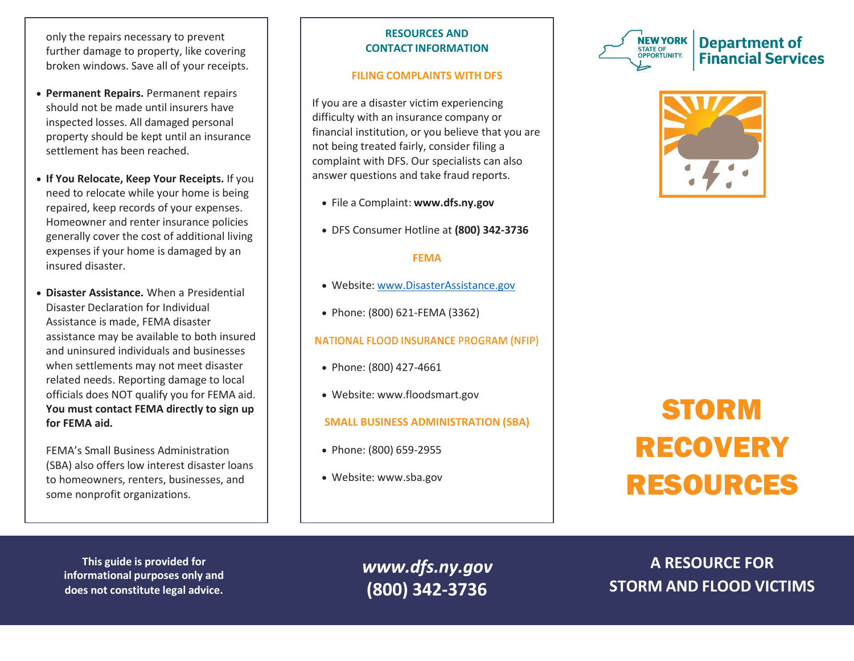only the repairs necessary to prevent further damage to property, like covering broken windows. Save all of your receipts.

- **Permanent Repairs.** Permanent repairs should not be made until insurers have inspected losses. All damaged personal property should be kept until an insurance settlement has been reached.
- **If You Relocate, Keep Your Receipts.** If you need to relocate while your home is being repaired, keep records of your expenses. Homeowner and renter insurance policies generally cover the cost of additional living expenses if your home is damaged by an insured disaster.
- **Disaster Assistance.** When a Presidential Disaster Declaration for Individual Assistance is made, FEMA disaster assistance may be available to both insured and uninsured individuals and businesses when settlements may not meet disaster related needs. Reporting damage to local officials does NOT qualify you for FEMA aid. **You must contact FEMA directly to sign up for FEMA aid.**

FEMA's Small Business Administration (SBA) also offers low interest disaster loans to homeowners, renters, businesses, and some nonprofit organizations.

# **RESOURCES AND CONTACT INFORMATION**

# **FILING COMPLAINTS WITH DFS**

If you are a disaster victim experiencing difficulty with an insurance company or financial institution, or you believe that you are not being treated fairly, consider filing a complaint with DFS. Our specialists can also answer questions and take fraud reports.

- File a Complaint: **[www.dfs.ny.gov](http://www.dfs.ny.gov/)**
- DFS Consumer Hotline at **(800) 342-3736**

### **FEMA**

- Website: [www.DisasterAssistance.gov](https://www.disasterassistance.gov/)
- Phone: (800) 621-FEMA (3362)

# **NATIONAL FLOOD INSURANCE PROGRAM (NFIP)**

- Phone: (800) 427-4661
- Website: [www.floodsmart.gov](http://www.floodsmart.gov/)

# **SMALL BUSINESS ADMINISTRATION (SBA)**

- Phone: (800) 659-2955
- Website: [www.sba.gov](http://www.sba.gov/)





# STORM RECOVERY RESOURCES

**This guide is provided for informational purposes only and does not constitute legal advice.**

*[www.dfs.ny.gov](http://www.dfs.ny.gov/)* **(800) 342-3736**

**A RESOURCE FOR STORM AND FLOOD VICTIMS**